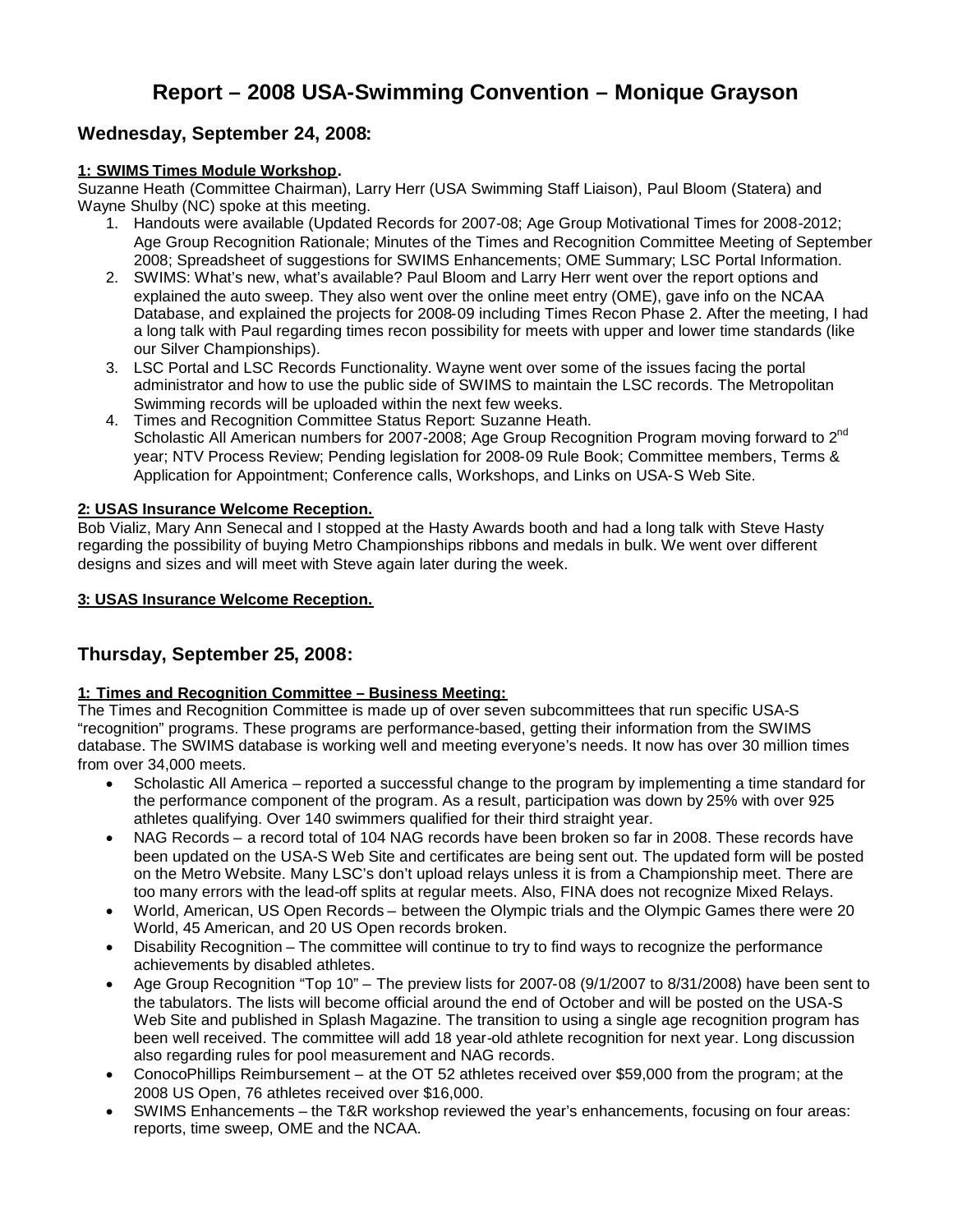# **Report – 2008 USA-Swimming Convention – Monique Grayson**

# **Wednesday, September 24, 2008:**

## **1: SWIMS Times Module Workshop.**

Suzanne Heath (Committee Chairman), Larry Herr (USA Swimming Staff Liaison), Paul Bloom (Statera) and Wayne Shulby (NC) spoke at this meeting.

- 1. Handouts were available (Updated Records for 2007-08; Age Group Motivational Times for 2008-2012; Age Group Recognition Rationale; Minutes of the Times and Recognition Committee Meeting of September 2008; Spreadsheet of suggestions for SWIMS Enhancements; OME Summary; LSC Portal Information.
- 2. SWIMS: What's new, what's available? Paul Bloom and Larry Herr went over the report options and explained the auto sweep. They also went over the online meet entry (OME), gave info on the NCAA Database, and explained the projects for 2008-09 including Times Recon Phase 2. After the meeting, I had a long talk with Paul regarding times recon possibility for meets with upper and lower time standards (like our Silver Championships).
- 3. LSC Portal and LSC Records Functionality. Wayne went over some of the issues facing the portal administrator and how to use the public side of SWIMS to maintain the LSC records. The Metropolitan Swimming records will be uploaded within the next few weeks.
- 4. Times and Recognition Committee Status Report: Suzanne Heath. Scholastic All American numbers for 2007-2008; Age Group Recognition Program moving forward to 2<sup>nd</sup> year; NTV Process Review; Pending legislation for 2008-09 Rule Book; Committee members, Terms & Application for Appointment; Conference calls, Workshops, and Links on USA-S Web Site.

## **2: USAS Insurance Welcome Reception.**

Bob Vializ, Mary Ann Senecal and I stopped at the Hasty Awards booth and had a long talk with Steve Hasty regarding the possibility of buying Metro Championships ribbons and medals in bulk. We went over different designs and sizes and will meet with Steve again later during the week.

## **3: USAS Insurance Welcome Reception.**

# **Thursday, September 25, 2008:**

## **1: Times and Recognition Committee – Business Meeting:**

The Times and Recognition Committee is made up of over seven subcommittees that run specific USA-S "recognition" programs. These programs are performance-based, getting their information from the SWIMS database. The SWIMS database is working well and meeting everyone's needs. It now has over 30 million times from over 34,000 meets.

- Scholastic All America reported a successful change to the program by implementing a time standard for the performance component of the program. As a result, participation was down by 25% with over 925 athletes qualifying. Over 140 swimmers qualified for their third straight year.
- NAG Records a record total of 104 NAG records have been broken so far in 2008. These records have been updated on the USA-S Web Site and certificates are being sent out. The updated form will be posted on the Metro Website. Many LSC's don't upload relays unless it is from a Championship meet. There are too many errors with the lead-off splits at regular meets. Also, FINA does not recognize Mixed Relays.
- World, American, US Open Records between the Olympic trials and the Olympic Games there were 20 World, 45 American, and 20 US Open records broken.
- Disability Recognition The committee will continue to try to find ways to recognize the performance achievements by disabled athletes.
- Age Group Recognition "Top 10" The preview lists for 2007-08 (9/1/2007 to 8/31/2008) have been sent to the tabulators. The lists will become official around the end of October and will be posted on the USA-S Web Site and published in Splash Magazine. The transition to using a single age recognition program has been well received. The committee will add 18 year-old athlete recognition for next year. Long discussion also regarding rules for pool measurement and NAG records.
- ConocoPhillips Reimbursement at the OT 52 athletes received over \$59,000 from the program; at the 2008 US Open, 76 athletes received over \$16,000.
- SWIMS Enhancements the T&R workshop reviewed the year's enhancements, focusing on four areas: reports, time sweep, OME and the NCAA.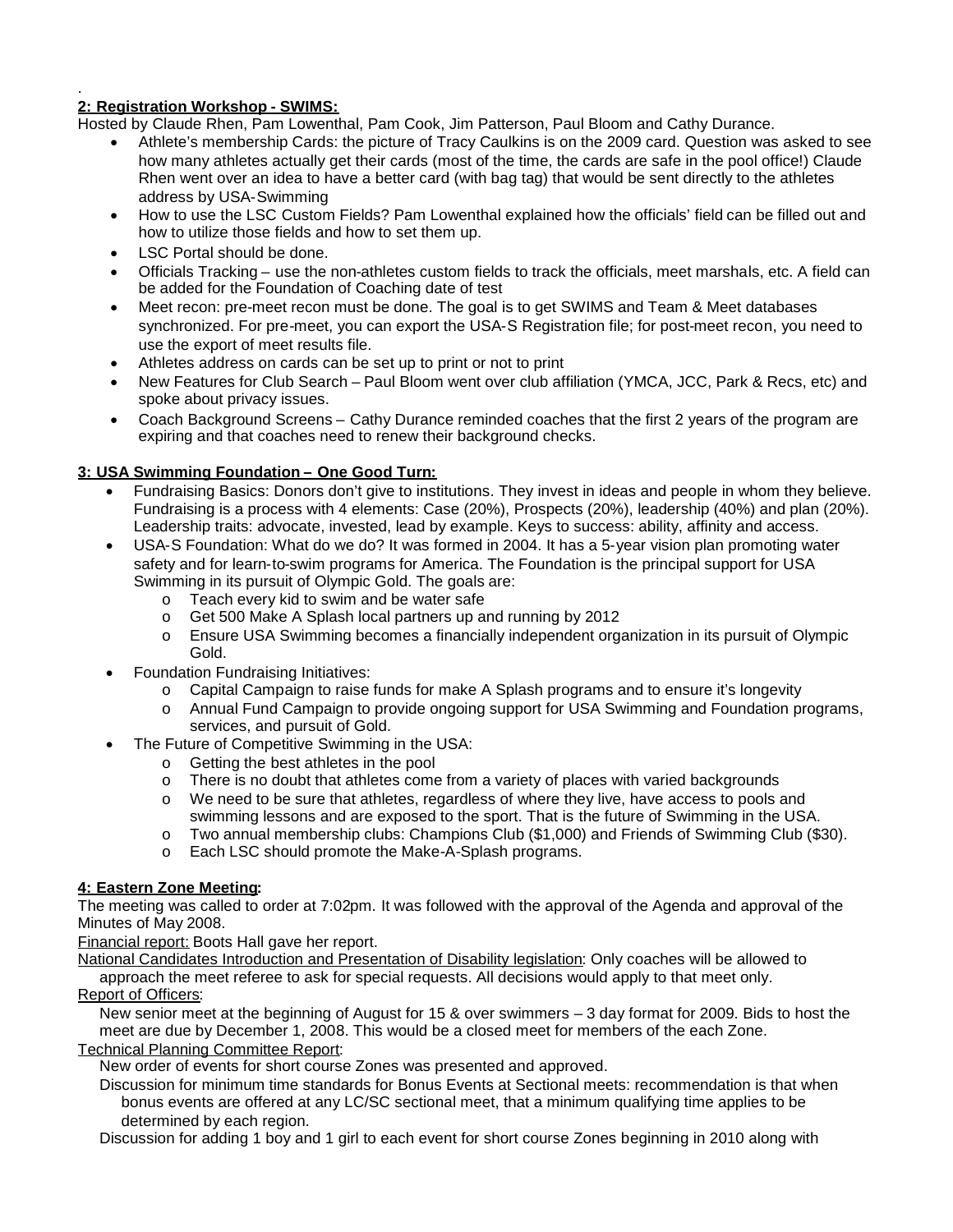#### . **2: Registration Workshop - SWIMS:**

Hosted by Claude Rhen, Pam Lowenthal, Pam Cook, Jim Patterson, Paul Bloom and Cathy Durance.

- Athlete's membership Cards: the picture of Tracy Caulkins is on the 2009 card. Question was asked to see how many athletes actually get their cards (most of the time, the cards are safe in the pool office!) Claude Rhen went over an idea to have a better card (with bag tag) that would be sent directly to the athletes address by USA-Swimming
- How to use the LSC Custom Fields? Pam Lowenthal explained how the officials' field can be filled out and how to utilize those fields and how to set them up.
- LSC Portal should be done.
- Officials Tracking use the non-athletes custom fields to track the officials, meet marshals, etc. A field can be added for the Foundation of Coaching date of test
- Meet recon: pre-meet recon must be done. The goal is to get SWIMS and Team & Meet databases synchronized. For pre-meet, you can export the USA-S Registration file; for post-meet recon, you need to use the export of meet results file.
- Athletes address on cards can be set up to print or not to print
- New Features for Club Search Paul Bloom went over club affiliation (YMCA, JCC, Park & Recs, etc) and spoke about privacy issues.
- Coach Background Screens Cathy Durance reminded coaches that the first 2 years of the program are expiring and that coaches need to renew their background checks.

## **3: USA Swimming Foundation – One Good Turn:**

- Fundraising Basics: Donors don't give to institutions. They invest in ideas and people in whom they believe. Fundraising is a process with 4 elements: Case (20%), Prospects (20%), leadership (40%) and plan (20%). Leadership traits: advocate, invested, lead by example. Keys to success: ability, affinity and access.
- USA-S Foundation: What do we do? It was formed in 2004. It has a 5-year vision plan promoting water safety and for learn-to-swim programs for America. The Foundation is the principal support for USA Swimming in its pursuit of Olympic Gold. The goals are:
	- o Teach every kid to swim and be water safe
	- o Get 500 Make A Splash local partners up and running by 2012
	- o Ensure USA Swimming becomes a financially independent organization in its pursuit of Olympic Gold.
- Foundation Fundraising Initiatives:
	- o Capital Campaign to raise funds for make A Splash programs and to ensure it's longevity
	- o Annual Fund Campaign to provide ongoing support for USA Swimming and Foundation programs, services, and pursuit of Gold.
- The Future of Competitive Swimming in the USA:
	- o Getting the best athletes in the pool
	- $\circ$  There is no doubt that athletes come from a variety of places with varied backgrounds
	- o We need to be sure that athletes, regardless of where they live, have access to pools and swimming lessons and are exposed to the sport. That is the future of Swimming in the USA.
	- o Two annual membership clubs: Champions Club (\$1,000) and Friends of Swimming Club (\$30).
	- o Each LSC should promote the Make-A-Splash programs.

## **4: Eastern Zone Meeting:**

The meeting was called to order at 7:02pm. It was followed with the approval of the Agenda and approval of the Minutes of May 2008.

Financial report: Boots Hall gave her report.

National Candidates Introduction and Presentation of Disability legislation: Only coaches will be allowed to approach the meet referee to ask for special requests. All decisions would apply to that meet only. Report of Officers:

New senior meet at the beginning of August for 15 & over swimmers – 3 day format for 2009. Bids to host the meet are due by December 1, 2008. This would be a closed meet for members of the each Zone.

Technical Planning Committee Report:

New order of events for short course Zones was presented and approved.

Discussion for minimum time standards for Bonus Events at Sectional meets: recommendation is that when bonus events are offered at any LC/SC sectional meet, that a minimum qualifying time applies to be determined by each region.

Discussion for adding 1 boy and 1 girl to each event for short course Zones beginning in 2010 along with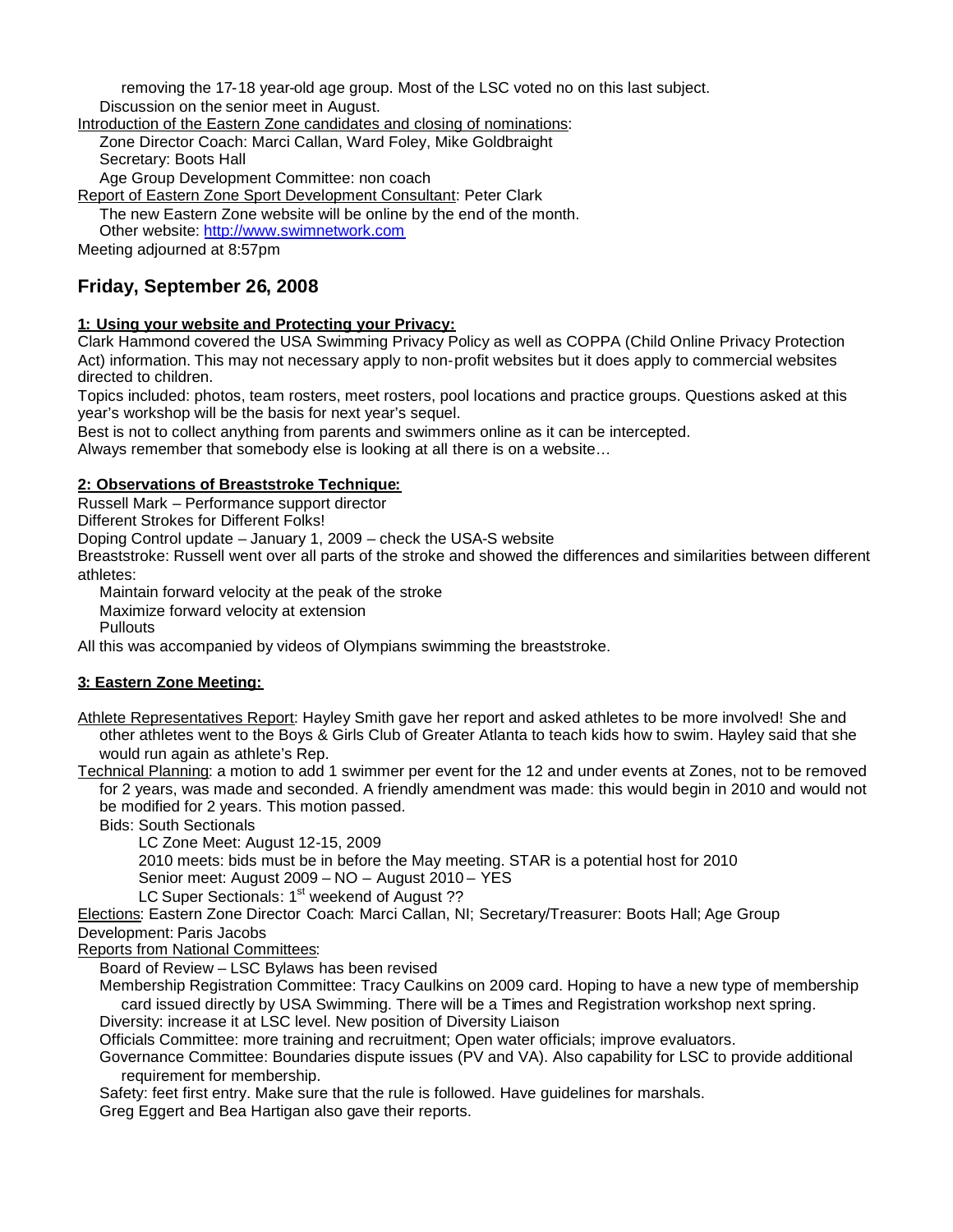removing the 17-18 year-old age group. Most of the LSC voted no on this last subject. Discussion on the senior meet in August.

Introduction of the Eastern Zone candidates and closing of nominations: Zone Director Coach: Marci Callan, Ward Foley, Mike Goldbraight Secretary: Boots Hall

Age Group Development Committee: non coach

Report of Eastern Zone Sport Development Consultant: Peter Clark

The new Eastern Zone website will be online by the end of the month.

Other website: http://www.swimnetwork.com

Meeting adjourned at 8:57pm

# **Friday, September 26, 2008**

#### **1: Using your website and Protecting your Privacy:**

Clark Hammond covered the USA Swimming Privacy Policy as well as COPPA (Child Online Privacy Protection Act) information. This may not necessary apply to non-profit websites but it does apply to commercial websites directed to children.

Topics included: photos, team rosters, meet rosters, pool locations and practice groups. Questions asked at this year's workshop will be the basis for next year's sequel.

Best is not to collect anything from parents and swimmers online as it can be intercepted.

Always remember that somebody else is looking at all there is on a website…

#### **2: Observations of Breaststroke Technique:**

Russell Mark – Performance support director

Different Strokes for Different Folks!

Doping Control update – January 1, 2009 – check the USA-S website

Breaststroke: Russell went over all parts of the stroke and showed the differences and similarities between different athletes:

Maintain forward velocity at the peak of the stroke

Maximize forward velocity at extension

**Pullouts** 

All this was accompanied by videos of Olympians swimming the breaststroke.

## **3: Eastern Zone Meeting:**

Athlete Representatives Report: Hayley Smith gave her report and asked athletes to be more involved! She and other athletes went to the Boys & Girls Club of Greater Atlanta to teach kids how to swim. Hayley said that she would run again as athlete's Rep.

Technical Planning: a motion to add 1 swimmer per event for the 12 and under events at Zones, not to be removed for 2 years, was made and seconded. A friendly amendment was made: this would begin in 2010 and would not be modified for 2 years. This motion passed.

Bids: South Sectionals

LC Zone Meet: August 12-15, 2009

2010 meets: bids must be in before the May meeting. STAR is a potential host for 2010

Senior meet: August 2009 – NO – August 2010 – YES

LC Super Sectionals: 1<sup>st</sup> weekend of August ??

Elections: Eastern Zone Director Coach: Marci Callan, NI; Secretary/Treasurer: Boots Hall; Age Group Development: Paris Jacobs

Reports from National Committees:

Board of Review – LSC Bylaws has been revised

Membership Registration Committee: Tracy Caulkins on 2009 card. Hoping to have a new type of membership card issued directly by USA Swimming. There will be a Times and Registration workshop next spring.

Diversity: increase it at LSC level. New position of Diversity Liaison

Officials Committee: more training and recruitment; Open water officials; improve evaluators.

Governance Committee: Boundaries dispute issues (PV and VA). Also capability for LSC to provide additional requirement for membership.

Safety: feet first entry. Make sure that the rule is followed. Have guidelines for marshals.

Greg Eggert and Bea Hartigan also gave their reports.